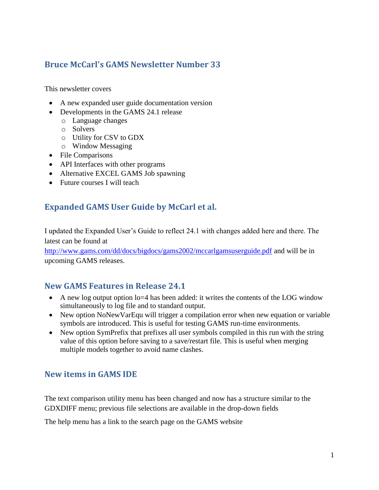## **Bruce McCarl's GAMS Newsletter Number 33**

This newsletter covers

- A new expanded user guide documentation version
- Developments in the GAMS 24.1 release
	- o Language changes
	- o Solvers
	- o Utility for CSV to GDX
	- o Window Messaging
- File Comparisons
- API Interfaces with other programs
- Alternative EXCEL GAMS Job spawning
- Future courses I will teach

### **Expanded GAMS User Guide by McCarl et al.**

I updated the Expanded User's Guide to reflect 24.1 with changes added here and there. The latest can be found at

<http://www.gams.com/dd/docs/bigdocs/gams2002/mccarlgamsuserguide.pdf> and will be in upcoming GAMS releases.

### **New GAMS Features in Release 24.1**

- A new log output option  $l = 4$  has been added: it writes the contents of the LOG window simultaneously to log file and to standard output.
- New option NoNewVarEqu will trigger a compilation error when new equation or variable symbols are introduced. This is useful for testing GAMS run-time environments.
- New option SymPrefix that prefixes all user symbols compiled in this run with the string value of this option before saving to a save/restart file. This is useful when merging multiple models together to avoid name clashes.

## **New items in GAMS IDE**

The text comparison utility menu has been changed and now has a structure similar to the GDXDIFF menu; previous file selections are available in the drop-down fields

The help menu has a link to the search page on the GAMS website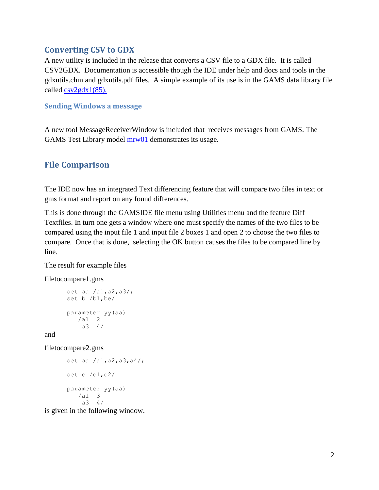### **Converting CSV to GDX**

A new utility is included in the release that converts a CSV file to a GDX file. It is called CSV2GDX. Documentation is accessible though the IDE under help and docs and tools in the gdxutils.chm and gdxutils.pdf files. A simple example of its use is in the GAMS data library file called [csv2gdx1\(85\).](http://www.gams.com/datalib/libhtml/csv2gdx1.htm)

#### **Sending Windows a message**

A new tool MessageReceiverWindow is included that receives messages from GAMS. The GAMS Test Library model  $mrv01$  demonstrates its usage.

### **File Comparison**

The IDE now has an integrated Text differencing feature that will compare two files in text or gms format and report on any found differences.

This is done through the GAMSIDE file menu using Utilities menu and the feature Diff Textfiles. In turn one gets a window where one must specify the names of the two files to be compared using the input file 1 and input file 2 boxes 1 and open 2 to choose the two files to compare. Once that is done, selecting the OK button causes the files to be compared line by line.

The result for example files

filetocompare1.gms

```
set aa /a1,a2,a3/;
set b /b1,be/
parameter yy(aa)
   /a1 2
     a3 4/
```
and

filetocompare2.gms

```
set aa /a1,a2,a3,a4/;
set c /c1,c2/
parameter yy(aa)
   /a1 3
     a3 4/
```
is given in the following window.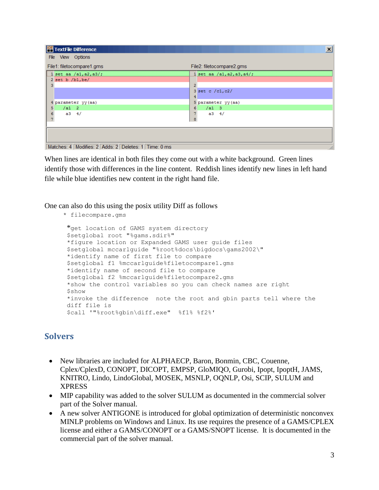| TextFile Difference                                          | $\vert x \vert$            |
|--------------------------------------------------------------|----------------------------|
| File View Options                                            |                            |
| File1: filetocompare1.gms                                    | File2: filetocompare2.gms  |
| 1 set aa $/a1$ , a2, a3/;                                    | 1 set aa /a1, a2, a3, a4/; |
| $2$ set b $/b1$ , be/                                        |                            |
|                                                              |                            |
|                                                              | $3$ set c /c1, c2/         |
|                                                              |                            |
| 4 parameter yy (aa)                                          | 5 parameter yy(aa)         |
| $/a1$ 2<br>5                                                 | /a13<br>6                  |
| $a3 \t4/$                                                    | $a3 \t4/$                  |
|                                                              | 8                          |
|                                                              |                            |
|                                                              |                            |
|                                                              |                            |
|                                                              |                            |
| Matches: 4   Modifies: 2   Adds: 2   Deletes: 1   Time: 0 ms | h,                         |

When lines are identical in both files they come out with a white background. Green lines identify those with differences in the line content. Reddish lines identify new lines in left hand file while blue identifies new content in the right hand file.

One can also do this using the posix utility Diff as follows

```
 * filecompare.gms
```

```
*get location of GAMS system directory
$setglobal root "%gams.sdir%"
*figure location or Expanded GAMS user guide files
$setglobal mccarlguide "%root%docs\bigdocs\gams2002\"
*identify name of first file to compare
$setglobal f1 %mccarlguide%filetocompare1.gms
*identify name of second file to compare
$setglobal f2 %mccarlguide%filetocompare2.gms
*show the control variables so you can check names are right
$show
*invoke the difference note the root and gbin parts tell where the 
diff file is
$call '"%root%gbin\diff.exe" %f1% %f2%'
```
# **Solvers**

- New libraries are included for ALPHAECP, Baron, Bonmin, CBC, Couenne, Cplex/CplexD, CONOPT, DICOPT, EMPSP, GloMIQO, Gurobi, Ipopt, IpoptH, JAMS, KNITRO, Lindo, LindoGlobal, MOSEK, MSNLP, OQNLP, Osi, SCIP, SULUM and XPRESS
- MIP capability was added to the solver SULUM as documented in the commercial solver part of the Solver manual.
- A new solver ANTIGONE is introduced for global optimization of deterministic nonconvex MINLP problems on Windows and Linux. Its use requires the presence of a GAMS/CPLEX license and either a GAMS/CONOPT or a GAMS/SNOPT license. It is documented in the commercial part of the solver manual.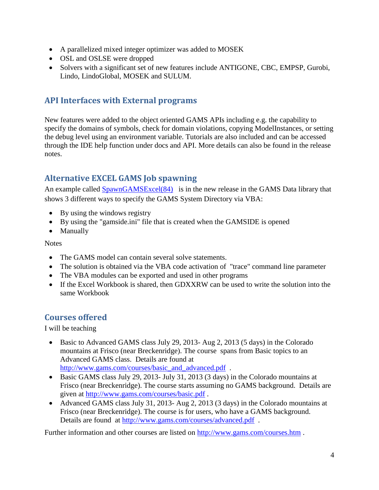- A parallelized mixed integer optimizer was added to MOSEK
- OSL and OSLSE were dropped
- Solvers with a significant set of new features include ANTIGONE, CBC, EMPSP, Gurobi, Lindo, LindoGlobal, MOSEK and SULUM.

### **API Interfaces with External programs**

New features were added to the object oriented GAMS APIs including e.g. the capability to specify the domains of symbols, check for domain violations, copying ModelInstances, or setting the debug level using an environment variable. Tutorials are also included and can be accessed through the IDE help function under docs and API. More details can also be found in the release notes.

# **Alternative EXCEL GAMS Job spawning**

An example called **SpawnGAMSExcel(84)** is in the new release in the GAMS Data library that shows 3 different ways to specify the GAMS System Directory via VBA:

- By using the windows registry
- By using the "gamside.ini" file that is created when the GAMSIDE is opened
- Manually

**Notes** 

- The GAMS model can contain several solve statements.
- The solution is obtained via the VBA code activation of "trace" command line parameter
- The VBA modules can be exported and used in other programs
- If the Excel Workbook is shared, then GDXXRW can be used to write the solution into the same Workbook

# **Courses offered**

I will be teaching

- Basic to Advanced GAMS class July 29, 2013- Aug 2, 2013 (5 days) in the Colorado mountains at Frisco (near Breckenridge). The course spans from Basic topics to an Advanced GAMS class. Details are found at [http://www.gams.com/courses/basic\\_and\\_advanced.pdf](http://www.gams.com/courses/basic_and_advanced.pdf) .
- Basic GAMS class July 29, 2013- July 31, 2013 (3 days) in the Colorado mountains at Frisco (near Breckenridge). The course starts assuming no GAMS background. Details are given at<http://www.gams.com/courses/basic.pdf> .
- Advanced GAMS class July 31, 2013- Aug 2, 2013 (3 days) in the Colorado mountains at Frisco (near Breckenridge). The course is for users, who have a GAMS background. Details are found at<http://www.gams.com/courses/advanced.pdf> .

Further information and other courses are listed on<http://www.gams.com/courses.htm> .